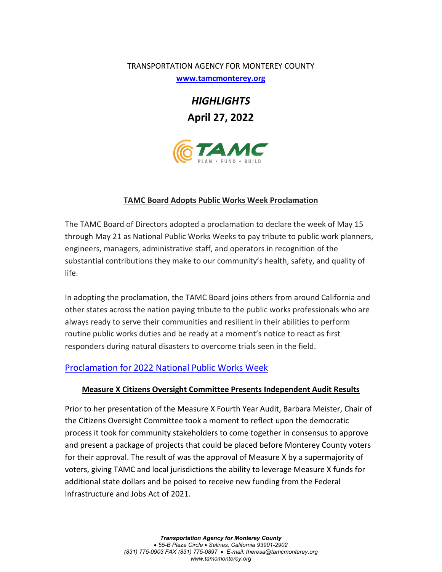### TRANSPORTATION AGENCY FOR MONTEREY COUNTY

**[www.tamcmonterey.org](http://www.tamcmonterey.org/)**

*HIGHLIGHTS* **April 27, 2022**



### **TAMC Board Adopts Public Works Week Proclamation**

The TAMC Board of Directors adopted a proclamation to declare the week of May 15 through May 21 as National Public Works Weeks to pay tribute to public work planners, engineers, managers, administrative staff, and operators in recognition of the substantial contributions they make to our community's health, safety, and quality of life.

In adopting the proclamation, the TAMC Board joins others from around California and other states across the nation paying tribute to the public works professionals who are always ready to serve their communities and resilient in their abilities to perform routine public works duties and be ready at a moment's notice to react as first responders during natural disasters to overcome trials seen in the field.

# [Proclamation for 2022 National Public Works Week](https://tamc.novusagenda.com/AgendaWeb/AttachmentViewer.ashx?AttachmentID=4232&ItemID=3224)

## **Measure X Citizens Oversight Committee Presents Independent Audit Results**

Prior to her presentation of the Measure X Fourth Year Audit, Barbara Meister, Chair of the Citizens Oversight Committee took a moment to reflect upon the democratic process it took for community stakeholders to come together in consensus to approve and present a package of projects that could be placed before Monterey County voters for their approval. The result of was the approval of Measure X by a supermajority of voters, giving TAMC and local jurisdictions the ability to leverage Measure X funds for additional state dollars and be poised to receive new funding from the Federal Infrastructure and Jobs Act of 2021.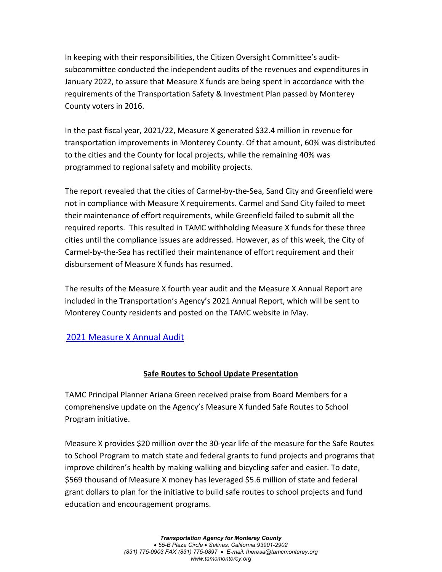In keeping with their responsibilities, the Citizen Oversight Committee's auditsubcommittee conducted the independent audits of the revenues and expenditures in January 2022, to assure that Measure X funds are being spent in accordance with the requirements of the Transportation Safety & Investment Plan passed by Monterey County voters in 2016.

In the past fiscal year, 2021/22, Measure X generated \$32.4 million in revenue for transportation improvements in Monterey County. Of that amount, 60% was distributed to the cities and the County for local projects, while the remaining 40% was programmed to regional safety and mobility projects.

The report revealed that the cities of Carmel-by-the-Sea, Sand City and Greenfield were not in compliance with Measure X requirements. Carmel and Sand City failed to meet their maintenance of effort requirements, while Greenfield failed to submit all the required reports. This resulted in TAMC withholding Measure X funds for these three cities until the compliance issues are addressed. However, as of this week, the City of Carmel-by-the-Sea has rectified their maintenance of effort requirement and their disbursement of Measure X funds has resumed.

The results of the Measure X fourth year audit and the Measure X Annual Report are included in the Transportation's Agency's 2021 Annual Report, which will be sent to Monterey County residents and posted on the TAMC website in May.

# [2021 Measure X Annual Audit](https://tamc.novusagenda.com/AgendaWeb/AttachmentViewer.ashx?AttachmentID=4222&ItemID=3394)

# **Safe Routes to School Update Presentation**

TAMC Principal Planner Ariana Green received praise from Board Members for a comprehensive update on the Agency's Measure X funded Safe Routes to School Program initiative.

Measure X provides \$20 million over the 30-year life of the measure for the Safe Routes to School Program to match state and federal grants to fund projects and programs that improve children's health by making walking and bicycling safer and easier. To date, \$569 thousand of Measure X money has leveraged \$5.6 million of state and federal grant dollars to plan for the initiative to build safe routes to school projects and fund education and encouragement programs.